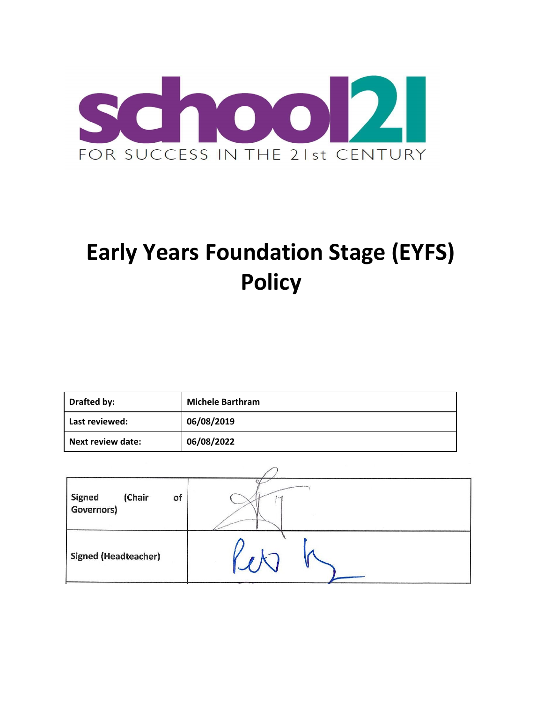

# **Early Years Foundation Stage (EYFS) Policy**

| Drafted by:              | <b>Michele Barthram</b> |  |
|--------------------------|-------------------------|--|
| Last reviewed:           | 06/08/2019              |  |
| <b>Next review date:</b> | 06/08/2022              |  |

| (Chair<br><b>Signed</b><br>of<br>Governors) | <b>CONTRACTOR</b> |  |
|---------------------------------------------|-------------------|--|
| <b>Signed (Headteacher)</b>                 |                   |  |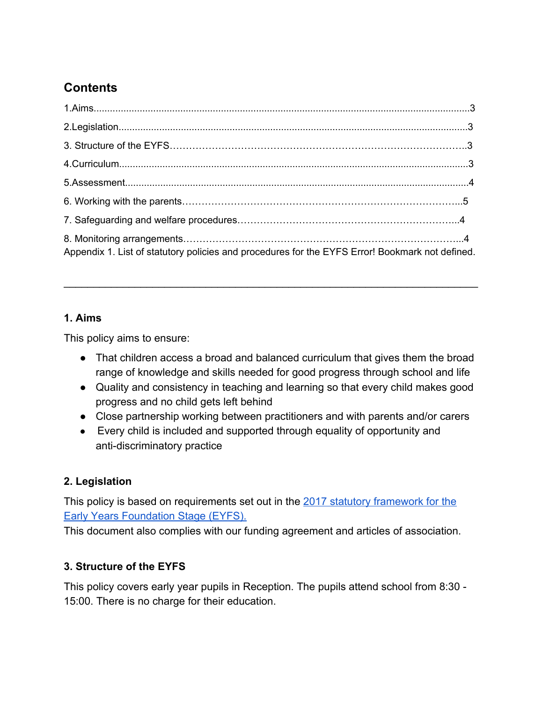# **Contents**

| Appendix 1. List of statutory policies and procedures for the EYFS Error! Bookmark not defined. |  |
|-------------------------------------------------------------------------------------------------|--|

#### **1. Aims**

This policy aims to ensure:

● That children access a broad and balanced curriculum that gives them the broad range of knowledge and skills needed for good progress through school and life

\_\_\_\_\_\_\_\_\_\_\_\_\_\_\_\_\_\_\_\_\_\_\_\_\_\_\_\_\_\_\_\_\_\_\_\_\_\_\_\_\_\_\_\_\_\_\_\_\_\_\_\_\_\_\_\_\_\_\_\_\_\_\_\_\_\_\_\_\_\_

- Quality and consistency in teaching and learning so that every child makes good progress and no child gets left behind
- Close partnership working between practitioners and with parents and/or carers
- Every child is included and supported through equality of opportunity and anti-discriminatory practice

# **2. Legislation**

This policy is based on requirements set out in the [2017 statutory framework for the](https://www.gov.uk/government/uploads/system/uploads/attachment_data/file/596629/EYFS_STATUTORY_FRAMEWORK_2017.pdf) **[Early Years Foundation Stage \(EYFS\).](https://www.gov.uk/government/uploads/system/uploads/attachment_data/file/596629/EYFS_STATUTORY_FRAMEWORK_2017.pdf)** 

This document also complies with our funding agreement and articles of association.

# **3. Structure of the EYFS**

This policy covers early year pupils in Reception. The pupils attend school from 8:30 - 15:00. There is no charge for their education.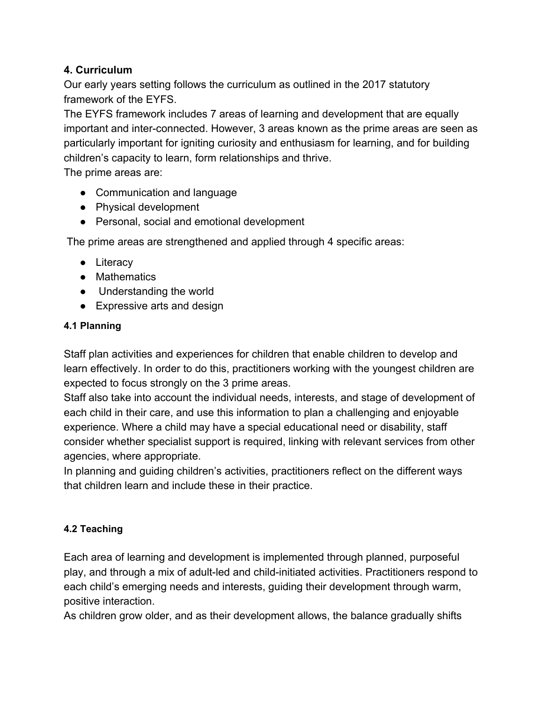#### **4. Curriculum**

Our early years setting follows the curriculum as outlined in the 2017 statutory framework of the EYFS.

The EYFS framework includes 7 areas of learning and development that are equally important and inter-connected. However, 3 areas known as the prime areas are seen as particularly important for igniting curiosity and enthusiasm for learning, and for building children's capacity to learn, form relationships and thrive.

The prime areas are:

- Communication and language
- Physical development
- Personal, social and emotional development

The prime areas are strengthened and applied through 4 specific areas:

- Literacy
- Mathematics
- Understanding the world
- Expressive arts and design

#### **4.1 Planning**

Staff plan activities and experiences for children that enable children to develop and learn effectively. In order to do this, practitioners working with the youngest children are expected to focus strongly on the 3 prime areas.

Staff also take into account the individual needs, interests, and stage of development of each child in their care, and use this information to plan a challenging and enjoyable experience. Where a child may have a special educational need or disability, staff consider whether specialist support is required, linking with relevant services from other agencies, where appropriate.

In planning and guiding children's activities, practitioners reflect on the different ways that children learn and include these in their practice.

#### **4.2 Teaching**

Each area of learning and development is implemented through planned, purposeful play, and through a mix of adult-led and child-initiated activities. Practitioners respond to each child's emerging needs and interests, guiding their development through warm, positive interaction.

As children grow older, and as their development allows, the balance gradually shifts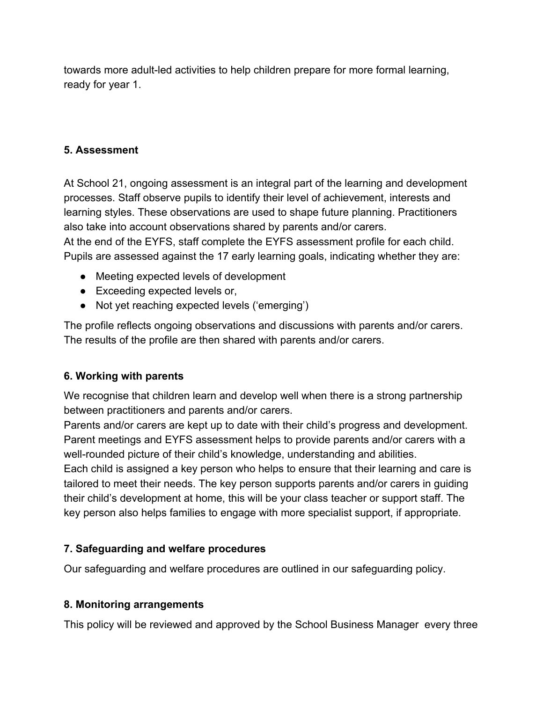towards more adult-led activities to help children prepare for more formal learning, ready for year 1.

#### **5. Assessment**

At School 21, ongoing assessment is an integral part of the learning and development processes. Staff observe pupils to identify their level of achievement, interests and learning styles. These observations are used to shape future planning. Practitioners also take into account observations shared by parents and/or carers. At the end of the EYFS, staff complete the EYFS assessment profile for each child. Pupils are assessed against the 17 early learning goals, indicating whether they are:

- Meeting expected levels of development
- Exceeding expected levels or,
- Not yet reaching expected levels ('emerging')

The profile reflects ongoing observations and discussions with parents and/or carers. The results of the profile are then shared with parents and/or carers.

# **6. Working with parents**

We recognise that children learn and develop well when there is a strong partnership between practitioners and parents and/or carers.

Parents and/or carers are kept up to date with their child's progress and development. Parent meetings and EYFS assessment helps to provide parents and/or carers with a well-rounded picture of their child's knowledge, understanding and abilities.

Each child is assigned a key person who helps to ensure that their learning and care is tailored to meet their needs. The key person supports parents and/or carers in guiding their child's development at home, this will be your class teacher or support staff. The key person also helps families to engage with more specialist support, if appropriate.

# **7. Safeguarding and welfare procedures**

Our safeguarding and welfare procedures are outlined in our safeguarding policy.

# **8. Monitoring arrangements**

This policy will be reviewed and approved by the School Business Manager every three